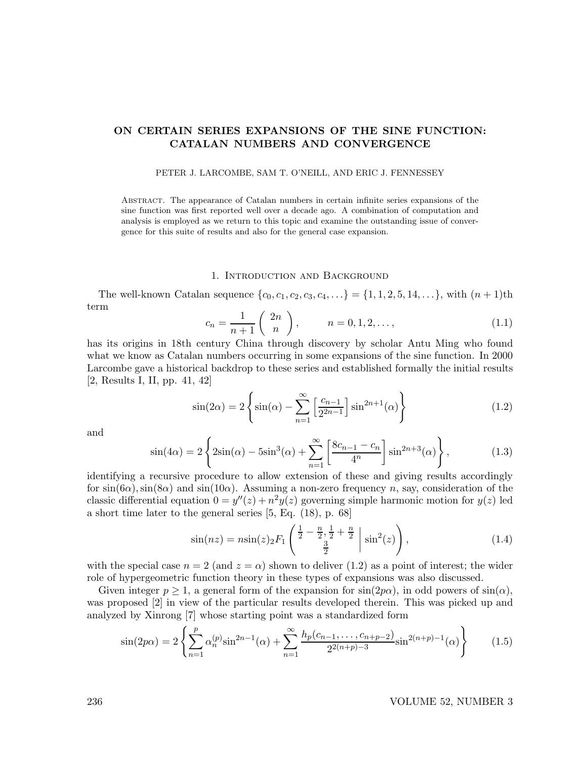# ON CERTAIN SERIES EXPANSIONS OF THE SINE FUNCTION: CATALAN NUMBERS AND CONVERGENCE

#### PETER J. LARCOMBE, SAM T. O'NEILL, AND ERIC J. FENNESSEY

Abstract. The appearance of Catalan numbers in certain infinite series expansions of the sine function was first reported well over a decade ago. A combination of computation and analysis is employed as we return to this topic and examine the outstanding issue of convergence for this suite of results and also for the general case expansion.

#### 1. Introduction and Background

The well-known Catalan sequence  $\{c_0, c_1, c_2, c_3, c_4, ...\} = \{1, 1, 2, 5, 14, ...\}$ , with  $(n + 1)$ th term

$$
c_n = \frac{1}{n+1} \binom{2n}{n}, \qquad n = 0, 1, 2, \dots,
$$
 (1.1)

has its origins in 18th century China through discovery by scholar Antu Ming who found what we know as Catalan numbers occurring in some expansions of the sine function. In 2000 Larcombe gave a historical backdrop to these series and established formally the initial results [2, Results I, II, pp. 41, 42]

$$
\sin(2\alpha) = 2\left\{\sin(\alpha) - \sum_{n=1}^{\infty} \left[\frac{c_{n-1}}{2^{2n-1}}\right] \sin^{2n+1}(\alpha)\right\}
$$
\n(1.2)

and

$$
\sin(4\alpha) = 2\left\{ 2\sin(\alpha) - 5\sin^3(\alpha) + \sum_{n=1}^{\infty} \left[ \frac{8c_{n-1} - c_n}{4^n} \right] \sin^{2n+3}(\alpha) \right\},
$$
(1.3)

identifying a recursive procedure to allow extension of these and giving results accordingly for  $\sin(6\alpha)$ ,  $\sin(8\alpha)$  and  $\sin(10\alpha)$ . Assuming a non-zero frequency n, say, consideration of the classic differential equation  $0 = y''(z) + n^2y(z)$  governing simple harmonic motion for  $y(z)$  led a short time later to the general series [5, Eq. (18), p. 68]

$$
\sin(nz) = n\sin(z) \, 2F_1 \left( \frac{\frac{1}{2} - \frac{n}{2}, \frac{1}{2} + \frac{n}{2}}{\frac{3}{2}} \; \middle| \; \sin^2(z) \right),\tag{1.4}
$$

with the special case  $n = 2$  (and  $z = \alpha$ ) shown to deliver (1.2) as a point of interest; the wider role of hypergeometric function theory in these types of expansions was also discussed.

Given integer  $p \ge 1$ , a general form of the expansion for  $\sin(2p\alpha)$ , in odd powers of  $\sin(\alpha)$ , was proposed [2] in view of the particular results developed therein. This was picked up and analyzed by Xinrong [7] whose starting point was a standardized form

$$
\sin(2p\alpha) = 2\left\{\sum_{n=1}^{p} \alpha_n^{(p)} \sin^{2n-1}(\alpha) + \sum_{n=1}^{\infty} \frac{h_p(c_{n-1}, \dots, c_{n+p-2})}{2^{2(n+p)-3}} \sin^{2(n+p)-1}(\alpha)\right\}
$$
(1.5)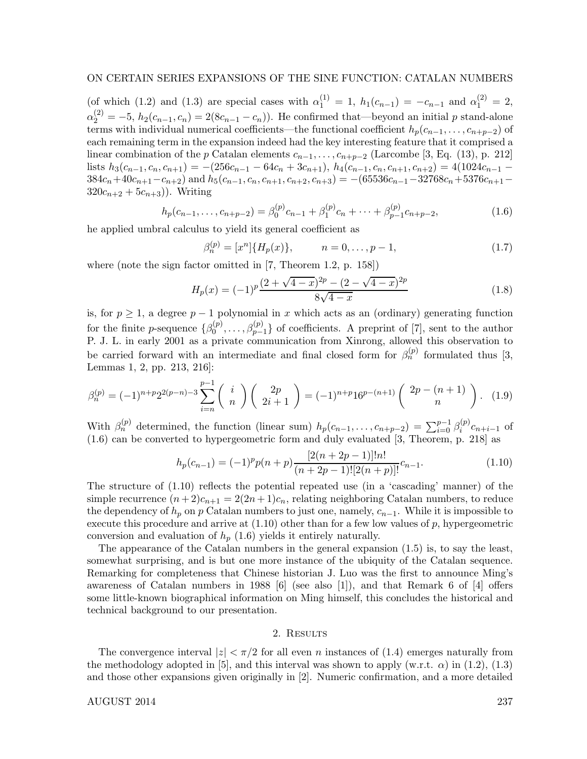# ON CERTAIN SERIES EXPANSIONS OF THE SINE FUNCTION: CATALAN NUMBERS

(of which (1.2) and (1.3) are special cases with  $\alpha_1^{(1)} = 1$ ,  $h_1(c_{n-1}) = -c_{n-1}$  and  $\alpha_1^{(2)} = 2$ ,  $\alpha_2^{(2)} = -5$ ,  $h_2(c_{n-1}, c_n) = 2(8c_{n-1} - c_n)$ . He confirmed that—beyond an initial p stand-alone terms with individual numerical coefficients—the functional coefficient  $h_p(c_{n-1}, \ldots, c_{n+p-2})$  of each remaining term in the expansion indeed had the key interesting feature that it comprised a linear combination of the p Catalan elements  $c_{n-1}, \ldots, c_{n+p-2}$  (Larcombe [3, Eq. (13), p. 212] lists  $h_3(c_{n-1}, c_n, c_{n+1}) = -(256c_{n-1} - 64c_n + 3c_{n+1}), h_4(c_{n-1}, c_n, c_{n+1}, c_{n+2}) = 4(1024c_{n-1} 384c_n+40c_{n+1}-c_{n+2}$ ) and  $h_5(c_{n-1}, c_n, c_{n+1}, c_{n+2}, c_{n+3}) = -(65536c_{n-1}-32768c_n+5376c_{n+1} 320c_{n+2} + 5c_{n+3}$ ). Writing

$$
h_p(c_{n-1},\ldots,c_{n+p-2}) = \beta_0^{(p)}c_{n-1} + \beta_1^{(p)}c_n + \cdots + \beta_{p-1}^{(p)}c_{n+p-2},\tag{1.6}
$$

he applied umbral calculus to yield its general coefficient as

$$
\beta_n^{(p)} = [x^n] \{ H_p(x) \}, \qquad n = 0, \dots, p - 1,\tag{1.7}
$$

where (note the sign factor omitted in [7, Theorem 1.2, p. 158])

$$
H_p(x) = (-1)^p \frac{(2 + \sqrt{4 - x})^{2p} - (2 - \sqrt{4 - x})^{2p}}{8\sqrt{4 - x}}
$$
(1.8)

is, for  $p \geq 1$ , a degree  $p-1$  polynomial in x which acts as an (ordinary) generating function for the finite *p*-sequence  $\{\beta_0^{(p)}\}$  $\mathcal{O}_0^{(p)}, \ldots, \mathcal{O}_{p-1}^{(p)}\}$  of coefficients. A preprint of [7], sent to the author P. J. L. in early 2001 as a private communication from Xinrong, allowed this observation to be carried forward with an intermediate and final closed form for  $\beta_n^{(p)}$  formulated thus [3, Lemmas 1, 2, pp. 213, 216]:

$$
\beta_n^{(p)} = (-1)^{n+p} 2^{2(p-n)-3} \sum_{i=n}^{p-1} {i \choose n} \left( 2p \choose 2i+1 \right) = (-1)^{n+p} 16^{p-(n+1)} \left( 2p - (n+1) \choose n \right). \tag{1.9}
$$

With  $\beta_n^{(p)}$  determined, the function (linear sum)  $h_p(c_{n-1}, \ldots, c_{n+p-2}) = \sum_{i=0}^{p-1} \beta_i^{(p)}$  $e_i^{(p)}c_{n+i-1}$  of (1.6) can be converted to hypergeometric form and duly evaluated [3, Theorem, p. 218] as

$$
h_p(c_{n-1}) = (-1)^p p(n+p) \frac{[2(n+2p-1)]!n!}{(n+2p-1)![2(n+p)]!} c_{n-1}.
$$
\n(1.10)

The structure of (1.10) reflects the potential repeated use (in a 'cascading' manner) of the simple recurrence  $(n+2)c_{n+1} = 2(2n+1)c_n$ , relating neighboring Catalan numbers, to reduce the dependency of  $h_p$  on p Catalan numbers to just one, namely,  $c_{n-1}$ . While it is impossible to execute this procedure and arrive at  $(1.10)$  other than for a few low values of p, hypergeometric conversion and evaluation of  $h_p(1.6)$  yields it entirely naturally.

The appearance of the Catalan numbers in the general expansion (1.5) is, to say the least, somewhat surprising, and is but one more instance of the ubiquity of the Catalan sequence. Remarking for completeness that Chinese historian J. Luo was the first to announce Ming's awareness of Catalan numbers in 1988 [6] (see also [1]), and that Remark 6 of [4] offers some little-known biographical information on Ming himself, this concludes the historical and technical background to our presentation.

## 2. RESULTS

The convergence interval  $|z| < \pi/2$  for all even n instances of (1.4) emerges naturally from the methodology adopted in [5], and this interval was shown to apply  $(w.r.t. \alpha)$  in (1.2), (1.3) and those other expansions given originally in [2]. Numeric confirmation, and a more detailed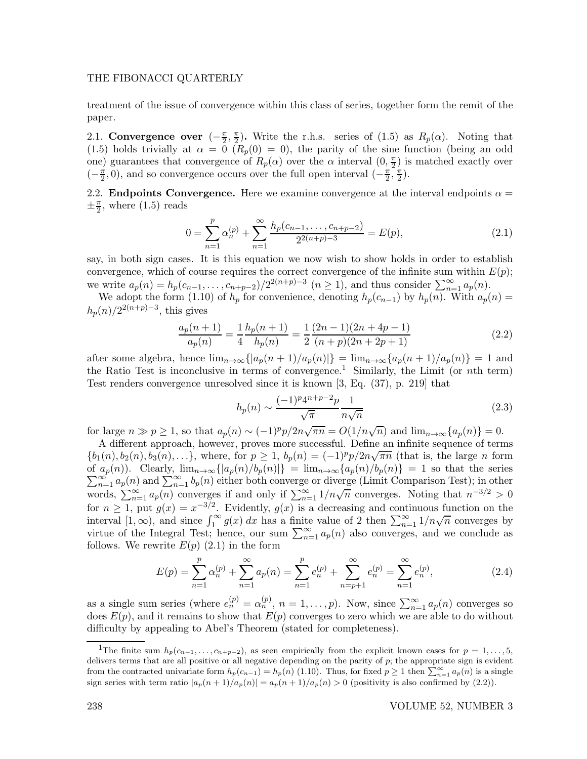### THE FIBONACCI QUARTERLY

treatment of the issue of convergence within this class of series, together form the remit of the paper.

2.1. Convergence over  $\left(-\frac{\pi}{2},\frac{\pi}{2}\right)$  $\frac{\pi}{2}$ . Write the r.h.s. series of (1.5) as  $R_p(\alpha)$ . Noting that (1.5) holds trivially at  $\alpha = \overline{0}$  ( $R_p(0) = 0$ ), the parity of the sine function (being an odd one) guarantees that convergence of  $R_p(\alpha)$  over the  $\alpha$  interval  $(0, \frac{\pi}{2})$  $(\frac{\pi}{2})$  is matched exactly over  $\left(-\frac{\pi}{2}\right)$  $\frac{\pi}{2}$ , 0), and so convergence occurs over the full open interval  $\left(-\frac{\pi}{2}\right)$  $\frac{\pi}{2}, \frac{\pi}{2}$  $\frac{\pi}{2}$ ).

2.2. **Endpoints Convergence.** Here we examine convergence at the interval endpoints  $\alpha =$  $\pm \frac{\pi}{2}$  $\frac{\pi}{2}$ , where  $(1.5)$  reads

$$
0 = \sum_{n=1}^{p} \alpha_n^{(p)} + \sum_{n=1}^{\infty} \frac{h_p(c_{n-1}, \dots, c_{n+p-2})}{2^{2(n+p)-3}} = E(p),
$$
\n(2.1)

say, in both sign cases. It is this equation we now wish to show holds in order to establish convergence, which of course requires the correct convergence of the infinite sum within  $E(p)$ ; we write  $a_p(n) = h_p(c_{n-1}, \ldots, c_{n+p-2})/2^{2(n+p)-3}$   $(n \ge 1)$ , and thus consider  $\sum_{n=1}^{\infty} a_p(n)$ .

We adopt the form (1.10) of  $h_p$  for convenience, denoting  $h_p(c_{n-1})$  by  $h_p(n)$ . With  $a_p(n)$  $h_p(n)/2^{2(n+p)-3}$ , this gives

$$
\frac{a_p(n+1)}{a_p(n)} = \frac{1}{4} \frac{h_p(n+1)}{h_p(n)} = \frac{1}{2} \frac{(2n-1)(2n+4p-1)}{(n+p)(2n+2p+1)}
$$
(2.2)

after some algebra, hence  $\lim_{n\to\infty} \{|a_p(n+1)/a_p(n)|\} = \lim_{n\to\infty} \{a_p(n+1)/a_p(n)\} = 1$  and the Ratio Test is inconclusive in terms of convergence.<sup>1</sup> Similarly, the Limit (or nth term) Test renders convergence unresolved since it is known [3, Eq. (37), p. 219] that

$$
h_p(n) \sim \frac{(-1)^p 4^{n+p-2} p}{\sqrt{\pi}} \frac{1}{n\sqrt{n}}
$$
\n(2.3)

for large  $n \gg p \ge 1$ , so that  $a_p(n) \sim (-1)^p p/2n\sqrt{\pi n} = O(1/n\sqrt{n})$  and  $\lim_{n\to\infty} \{a_p(n)\} = 0$ .

A different approach, however, proves more successful. Define an infinite sequence of terms  ${b_1(n), b_2(n), b_3(n), \ldots}$ , where, for  $p \ge 1$ ,  $b_p(n) = (-1)^p p/2n\sqrt{\pi n}$  (that is, the large *n* form  $\sum_{n=1}^{\infty} a_p(n)$  and  $\sum_{n=1}^{\infty} b_p(n)$  either both converge or diverge (Limit Comparison Test); in other of  $a_p(n)$ . Clearly,  $\lim_{n\to\infty} \{|a_p(n)/b_p(n)|\} = \lim_{n\to\infty} \{a_p(n)/b_p(n)\} = 1$  so that the series words,  $\sum_{n=1}^{\infty} a_p(n)$  converges if and only if  $\sum_{n=1}^{\infty} 1/n\sqrt{n}$  converges. Noting that  $n^{-3/2} > 0$ for  $n \ge 1$ , put  $g(x) = x^{-3/2}$ . Evidently,  $g(x)$  is a decreasing and continuous function on the interval  $[1, \infty)$ , and since  $\int_1^{\infty} g(x) dx$  has a finite value of 2 then  $\sum_{n=1}^{\infty} 1/n\sqrt{n}$  converges by virtue of the Integral Test; hence, our sum  $\sum_{n=1}^{\infty} a_p(n)$  also converges, and we conclude as follows. We rewrite  $E(p)$  (2.1) in the form

$$
E(p) = \sum_{n=1}^{p} \alpha_n^{(p)} + \sum_{n=1}^{\infty} a_p(n) = \sum_{n=1}^{p} e_n^{(p)} + \sum_{n=p+1}^{\infty} e_n^{(p)} = \sum_{n=1}^{\infty} e_n^{(p)},
$$
\n(2.4)

as a single sum series (where  $e_n^{(p)} = \alpha_n^{(p)}$ ,  $n = 1, ..., p$ ). Now, since  $\sum_{n=1}^{\infty} a_p(n)$  converges so does  $E(p)$ , and it remains to show that  $E(p)$  converges to zero which we are able to do without difficulty by appealing to Abel's Theorem (stated for completeness).

<sup>&</sup>lt;sup>1</sup>The finite sum  $h_p(c_{n-1}, \ldots, c_{n+p-2})$ , as seen empirically from the explicit known cases for  $p = 1, \ldots, 5$ , delivers terms that are all positive or all negative depending on the parity of  $p$ ; the appropriate sign is evident from the contracted univariate form  $h_p(c_{n-1}) = h_p(n)$  (1.10). Thus, for fixed  $p \ge 1$  then  $\sum_{n=1}^{\infty} a_p(n)$  is a single sign series with term ratio  $|a_p(n+1)/a_p(n)| = a_p(n+1)/a_p(n) > 0$  (positivity is also confirmed by (2.2)).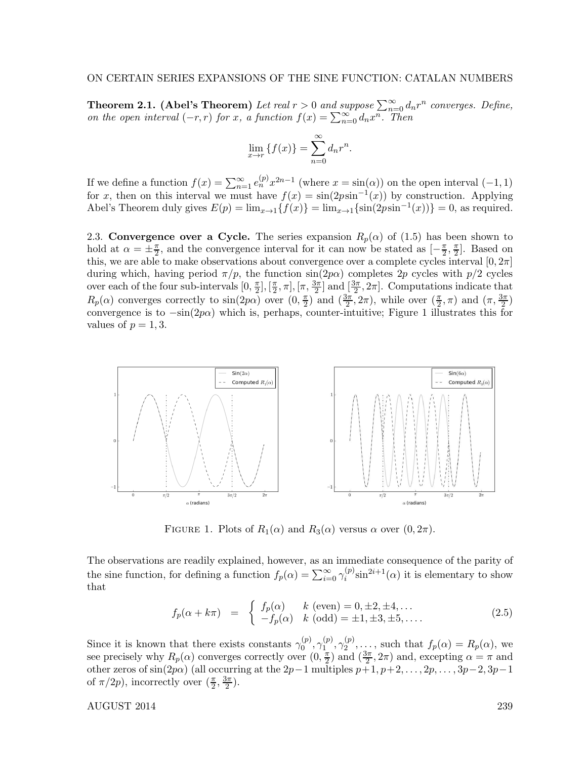**Theorem 2.1.** (Abel's Theorem) Let real  $r > 0$  and suppose  $\sum_{n=0}^{\infty} d_n r^n$  converges. Define, on the open interval  $(-r, r)$  for x, a function  $f(x) = \sum_{n=0}^{\infty} d_n x^n$ . Then

$$
\lim_{x \to r} \{f(x)\} = \sum_{n=0}^{\infty} d_n r^n.
$$

If we define a function  $f(x) = \sum_{n=1}^{\infty} e_n^{(p)} x^{2n-1}$  (where  $x = \sin(\alpha)$ ) on the open interval  $(-1, 1)$ for x, then on this interval we must have  $f(x) = \sin(2p\sin^{-1}(x))$  by construction. Applying Abel's Theorem duly gives  $E(p) = \lim_{x \to 1} \{f(x)\} = \lim_{x \to 1} \{\sin(2p\sin^{-1}(x))\} = 0$ , as required.

2.3. Convergence over a Cycle. The series expansion  $R_p(\alpha)$  of (1.5) has been shown to hold at  $\alpha = \pm \frac{\pi}{2}$ , and the convergence interval for it can now be stated as  $[-\frac{\pi}{2}, \frac{\pi}{2}]$  $\frac{\pi}{2}$ . Based on this, we are able to make observations about convergence over a complete cycles interval  $[0, 2\pi]$ during which, having period  $\pi/p$ , the function  $\sin(2p\alpha)$  completes 2p cycles with  $p/2$  cycles over each of the four sub-intervals  $[0, \frac{\pi}{2}]$  $\frac{\pi}{2}$ ,  $\left[\frac{\pi}{2}\right]$  $(\frac{\pi}{2}, \pi], [\pi, \frac{3\pi}{2}]$  and  $[\frac{3\pi}{2}, 2\pi]$ . Computations indicate that  $R_p(\alpha)$  converges correctly to  $\sin(2p\alpha)$  over  $(0, \frac{\pi}{2})$  $(\frac{\pi}{2})$  and  $(\frac{3\pi}{2}, 2\pi)$ , while over  $(\frac{\pi}{2}, \pi)$  and  $(\pi, \frac{3\pi}{2})$ convergence is to  $-\sin(2p\alpha)$  which is, perhaps, counter-intuitive; Figure 1 illustrates this for values of  $p = 1, 3$ .



FIGURE 1. Plots of  $R_1(\alpha)$  and  $R_3(\alpha)$  versus  $\alpha$  over  $(0, 2\pi)$ .

The observations are readily explained, however, as an immediate consequence of the parity of the sine function, for defining a function  $f_p(\alpha) = \sum_{i=0}^{\infty} \gamma_i^{(p)}$  $i^{(p)}\sin^{2i+1}(\alpha)$  it is elementary to show that

$$
f_p(\alpha + k\pi) = \begin{cases} f_p(\alpha) & k \text{ (even)} = 0, \pm 2, \pm 4, \dots \\ -f_p(\alpha) & k \text{ (odd)} = \pm 1, \pm 3, \pm 5, \dots \end{cases}
$$
 (2.5)

Since it is known that there exists constants  $\gamma_0^{(p)}$  $\overset{(p)}{0},\overset{(p)}{\gamma_1^{(p)}}$  $\overset{(p)}{1},\overset{(p)}{\gamma_2^{(p)}}$  $S_2^{(p)}, \ldots$ , such that  $f_p(\alpha) = R_p(\alpha)$ , we see precisely why  $R_p(\alpha)$  converges correctly over  $(0, \frac{\pi}{2})$  $(\frac{\pi}{2})$  and  $(\frac{3\pi}{2}, 2\pi)$  and, excepting  $\alpha = \pi$  and other zeros of sin(2p $\alpha$ ) (all occurring at the 2p−1 multiples p+1, p+2, ..., 2p, ..., 3p−2, 3p−1 of  $\pi/2p$ , incorrectly over  $(\frac{\pi}{2}, \frac{3\pi}{2})$  $\frac{2\pi}{2}$ .

AUGUST 2014 239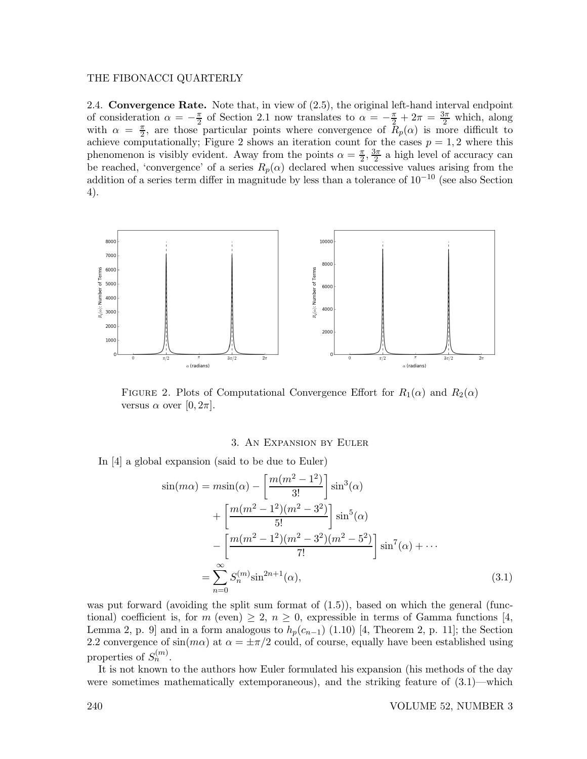## THE FIBONACCI QUARTERLY

2.4. **Convergence Rate.** Note that, in view of  $(2.5)$ , the original left-hand interval endpoint of consideration  $\alpha = -\frac{\pi}{2}$  $\frac{\pi}{2}$  of Section 2.1 now translates to  $\alpha = -\frac{\pi}{2} + 2\pi = \frac{3\pi}{2}$  which, along with  $\alpha = \frac{\pi}{2}$  $\frac{\pi}{2}$ , are those particular points where convergence of  $R_p(\alpha)$  is more difficult to achieve computationally; Figure 2 shows an iteration count for the cases  $p = 1, 2$  where this phenomenon is visibly evident. Away from the points  $\alpha = \frac{\pi}{2}$  $\frac{\pi}{2}, \frac{3\pi}{2}$  $\frac{3\pi}{2}$  a high level of accuracy can be reached, 'convergence' of a series  $R_p(\alpha)$  declared when successive values arising from the addition of a series term differ in magnitude by less than a tolerance of 10−<sup>10</sup> (see also Section 4).



FIGURE 2. Plots of Computational Convergence Effort for  $R_1(\alpha)$  and  $R_2(\alpha)$ versus  $\alpha$  over  $[0, 2\pi]$ .

## 3. An Expansion by Euler

In [4] a global expansion (said to be due to Euler)

$$
\sin(m\alpha) = m\sin(\alpha) - \left[\frac{m(m^2 - 1^2)}{3!}\right] \sin^3(\alpha) \n+ \left[\frac{m(m^2 - 1^2)(m^2 - 3^2)}{5!}\right] \sin^5(\alpha) \n- \left[\frac{m(m^2 - 1^2)(m^2 - 3^2)(m^2 - 5^2)}{7!}\right] \sin^7(\alpha) + \cdots \n= \sum_{n=0}^{\infty} S_n^{(m)} \sin^{2n+1}(\alpha),
$$
\n(3.1)

was put forward (avoiding the split sum format of  $(1.5)$ ), based on which the general (functional) coefficient is, for  $m$  (even)  $\geq 2$ ,  $n \geq 0$ , expressible in terms of Gamma functions [4, Lemma 2, p. 9] and in a form analogous to  $h_p(c_{n-1})$  (1.10) [4, Theorem 2, p. 11]; the Section 2.2 convergence of  $\sin(m\alpha)$  at  $\alpha = \pm \pi/2$  could, of course, equally have been established using properties of  $S_n^{(m)}$ .

It is not known to the authors how Euler formulated his expansion (his methods of the day were sometimes mathematically extemporaneous), and the striking feature of (3.1)—which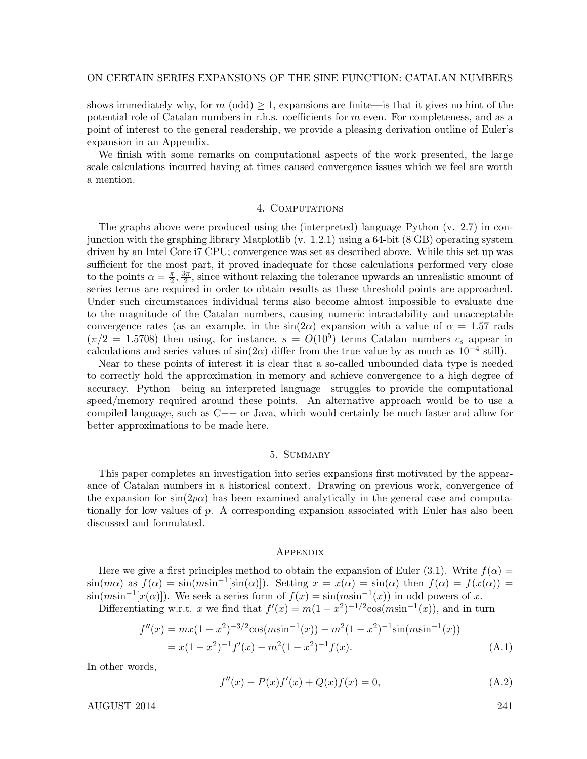shows immediately why, for  $m \text{ (odd)} \geq 1$ , expansions are finite—is that it gives no hint of the potential role of Catalan numbers in r.h.s. coefficients for m even. For completeness, and as a point of interest to the general readership, we provide a pleasing derivation outline of Euler's expansion in an Appendix.

We finish with some remarks on computational aspects of the work presented, the large scale calculations incurred having at times caused convergence issues which we feel are worth a mention.

#### 4. COMPUTATIONS

The graphs above were produced using the (interpreted) language Python (v. 2.7) in conjunction with the graphing library Matplotlib (v. 1.2.1) using a 64-bit (8 GB) operating system driven by an Intel Core i7 CPU; convergence was set as described above. While this set up was sufficient for the most part, it proved inadequate for those calculations performed very close to the points  $\alpha = \frac{\pi}{2}$  $\frac{\pi}{2}, \frac{3\pi}{2}$  $\frac{2\pi}{2}$ , since without relaxing the tolerance upwards an unrealistic amount of series terms are required in order to obtain results as these threshold points are approached. Under such circumstances individual terms also become almost impossible to evaluate due to the magnitude of the Catalan numbers, causing numeric intractability and unacceptable convergence rates (as an example, in the  $sin(2\alpha)$  expansion with a value of  $\alpha = 1.57$  rads  $(\pi/2 = 1.5708)$  then using, for instance,  $s = O(10^5)$  terms Catalan numbers  $c_s$  appear in calculations and series values of  $sin(2\alpha)$  differ from the true value by as much as  $10^{-4}$  still).

Near to these points of interest it is clear that a so-called unbounded data type is needed to correctly hold the approximation in memory and achieve convergence to a high degree of accuracy. Python—being an interpreted language—struggles to provide the computational speed/memory required around these points. An alternative approach would be to use a compiled language, such as C++ or Java, which would certainly be much faster and allow for better approximations to be made here.

## 5. Summary

This paper completes an investigation into series expansions first motivated by the appearance of Catalan numbers in a historical context. Drawing on previous work, convergence of the expansion for  $\sin(2p\alpha)$  has been examined analytically in the general case and computationally for low values of  $p$ . A corresponding expansion associated with Euler has also been discussed and formulated.

### **APPENDIX**

Here we give a first principles method to obtain the expansion of Euler (3.1). Write  $f(\alpha)$  =  $\sin(m\alpha)$  as  $f(\alpha) = \sin(m\sin^{-1}[\sin(\alpha)])$ . Setting  $x = x(\alpha) = \sin(\alpha)$  then  $f(\alpha) = f(x(\alpha)) =$  $\sin(m\sin^{-1}[x(\alpha)])$ . We seek a series form of  $f(x) = \sin(m\sin^{-1}(x))$  in odd powers of x. Differentiating w.r.t. x we find that  $f'(x) = m(1 - x^2)^{-1/2} \cos(m \sin^{-1}(x))$ , and in turn

$$
f''(x) = mx(1 - x^2)^{-3/2} \cos(m\sin^{-1}(x)) - m^2(1 - x^2)^{-1} \sin(m\sin^{-1}(x))
$$
  
=  $x(1 - x^2)^{-1} f'(x) - m^2(1 - x^2)^{-1} f(x).$  (A.1)

In other words,

$$
f''(x) - P(x)f'(x) + Q(x)f(x) = 0,
$$
\n(A.2)

AUGUST 2014 241